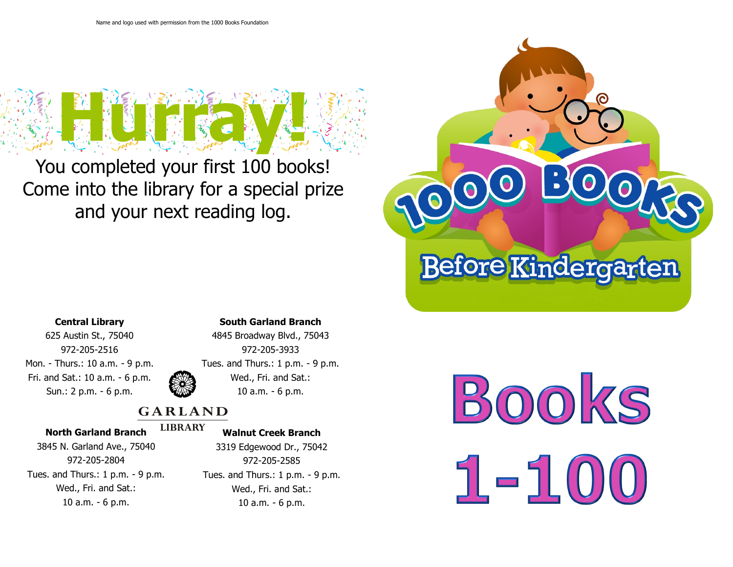

You completed your first 100 books! Come into the library for a special prize and your next reading log.



## **Central Library**

625 Austin St., 75040 972-205-2516 Mon. - Thurs.: 10 a.m. - 9 p.m. Fri. and Sat.: 10 a.m. - 6 p.m. Sun.: 2 p.m. - 6 p.m.

### **South Garland Branch**



# 4845 Broadway Blvd., 75043 972-205-3933 Tues. and Thurs.: 1 p.m. - 9 p.m. Wed., Fri. and Sat.: 10 a.m. - 6 p.m.

# **GARLAND**

### **North Garland Branch**

#### **LIBRARY Walnut Creek Branch**

3845 N. Garland Ave., 75040 972-205-2804 Tues. and Thurs.: 1 p.m. - 9 p.m. Wed., Fri. and Sat.: 10 a.m. - 6 p.m.

3319 Edgewood Dr., 75042 972-205-2585 Tues. and Thurs.: 1 p.m. - 9 p.m. Wed., Fri. and Sat.: 10 a.m. - 6 p.m.

**BOOKS**  $1 - 51$